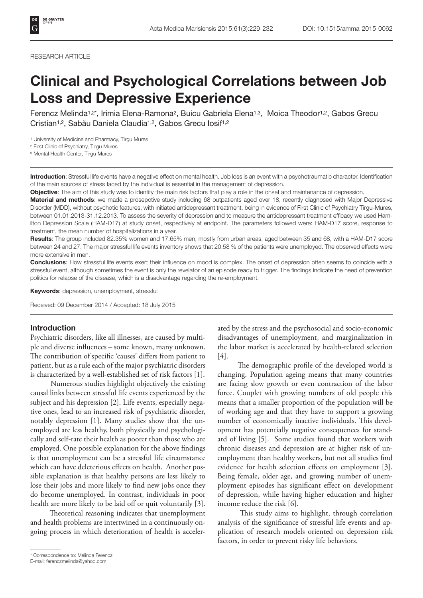#### RESEARCH ARTICLE

# Clinical and Psychological Correlations between Job Loss and Depressive Experience

Ferencz Melinda<sup>1,2\*</sup>, Irimia Elena-Ramona<sup>2</sup>, Buicu Gabriela Elena<sup>1,3</sup>, Moica Theodor<sup>1,2</sup>, Gabos Grecu Cristian1,2, Sabău Daniela Claudia1,2, Gabos Grecu Iosif1,2

1 University of Medicine and Pharmacy, Tirgu Mures

2 First Clinic of Psychiatry, Tirgu Mures

3 Mental Health Center, Tirgu Mures

Introduction: Stressful life events have a negative effect on mental health. Job loss is an event with a psychotraumatic character. Identification of the main sources of stress faced by the individual is essential in the management of depression.

Objective: The aim of this study was to identify the main risk factors that play a role in the onset and maintenance of depression.

Material and methods: we made a prosepctive study including 68 outpatients aged over 18, recently diagnosed with Major Depressive Disorder (MDD), without psychotic features, with initiated antidepressant treatment, being in evidence of First Clinic of Psychiatry Tirgu-Mures, between 01.01.2013-31.12.2013. To assess the severity of depression and to measure the antidepressant treatment efficacy we used Hamilton Depression Scale (HAM-D17) at study onset, respectively at endpoint. The parameters followed were: HAM-D17 score, response to treatment, the mean number of hospitalizations in a year.

Results: The group included 82.35% women and 17.65% men, mostly from urban areas, aged between 35 and 68, with a HAM-D17 score between 24 and 27. The major stressful life events inventory shows that 20.58 % of the patients were unemployed. The observed effects were more extensive in men.

Conclusions: How stressful life events exert their influence on mood is complex. The onset of depression often seems to coincide with a stressful event, although sometimes the event is only the revelator of an episode ready to trigger. The findings indicate the need of prevention politics for relapse of the disease, which is a disadvantage regarding the re-employment.

Keywords: depression, unemployment, stressful

Received: 09 December 2014 / Accepted: 18 July 2015

### Introduction

Psychiatric disorders, like all illnesses, are caused by multiple and diverse influences – some known, many unknown. The contribution of specific 'causes' differs from patient to patient, but as a rule each of the major psychiatric disorders is characterized by a well-established set of risk factors [1].

 Numerous studies highlight objectively the existing causal links between stressful life events experienced by the subject and his depression [2]. Life events, especially negative ones, lead to an increased risk of psychiatric disorder, notably depression [1]. Many studies show that the unemployed are less healthy, both physically and psychologically and self-rate their health as poorer than those who are employed. One possible explanation for the above findings is that unemployment can be a stressful life circumstance which can have deleterious effects on health. Another possible explanation is that healthy persons are less likely to lose their jobs and more likely to find new jobs once they do become unemployed. In contrast, individuals in poor health are more likely to be laid off or quit voluntarily [3].

 Theoretical reasoning indicates that unemployment and health problems are intertwined in a continuously ongoing process in which deterioration of health is acceler-

E-mail: ferenczmelinda@yahoo.com

ated by the stress and the psychosocial and socio-economic disadvantages of unemployment, and marginalization in the labor market is accelerated by health-related selection [4].

 The demographic profile of the developed world is changing. Population ageing means that many countries are facing slow growth or even contraction of the labor force. Couplet with growing numbers of old people this means that a smaller proportion of the population will be of working age and that they have to support a growing number of economically inactive individuals. This development has potentially negative consequences for standard of living [5]. Some studies found that workers with chronic diseases and depression are at higher risk of unemployment than healthy workers, but not all studies find evidence for health selection effects on employment [3]. Being female, older age, and growing number of unemployment episodes has significant effect on development of depression, while having higher education and higher income reduce the risk [6].

 This study aims to highlight, through correlation analysis of the significance of stressful life events and application of research models oriented on depression risk factors, in order to prevent risky life behaviors.

<sup>\*</sup> Correspondence to: Melinda Ferencz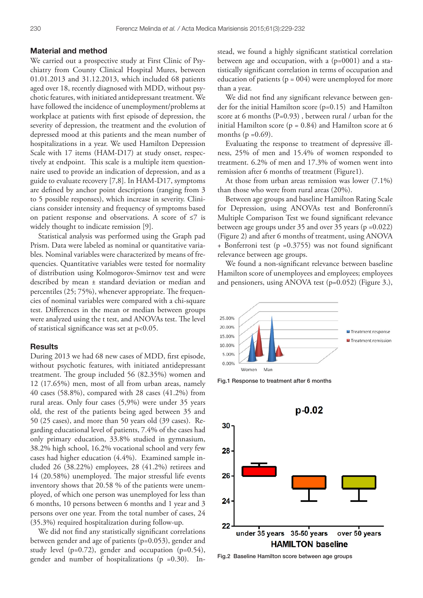### Material and method

We carried out a prospective study at First Clinic of Psychiatry from County Clinical Hospital Mures, between 01.01.2013 and 31.12.2013, which included 68 patients aged over 18, recently diagnosed with MDD, without psychotic features, with initiated antidepressant treatment. We have followed the incidence of unemployment/problems at workplace at patients with first episode of depression, the severity of depression, the treatment and the evolution of depressed mood at this patients and the mean number of hospitalizations in a year. We used Hamilton Depression Scale with 17 items (HAM-D17) at study onset, respectively at endpoint. This scale is a multiple item questionnaire used to provide an indication of depression, and as a guide to evaluate recovery [7,8]. In HAM-D17, symptoms are defined by anchor point descriptions (ranging from 3 to 5 possible responses), which increase in severity. Clinicians consider intensity and frequency of symptoms based on patient response and observations. A score of ≤7 is widely thought to indicate remission [9].

Statistical analysis was performed using the Graph pad Prism. Data were labeled as nominal or quantitative variables. Nominal variables were characterized by means of frequencies. Quantitative variables were tested for normality of distribution using Kolmogorov-Smirnov test and were described by mean ± standard deviation or median and percentiles (25; 75%), whenever appropriate. The frequencies of nominal variables were compared with a chi-square test. Differences in the mean or median between groups were analyzed using the t test, and ANOVAs test. The level of statistical significance was set at p<0.05.

## **Results**

During 2013 we had 68 new cases of MDD, first episode, without psychotic features, with initiated antidepressant treatment. The group included 56 (82.35%) women and 12 (17.65%) men, most of all from urban areas, namely 40 cases (58.8%), compared with 28 cases (41.2%) from rural areas. Only four cases (5,9%) were under 35 years old, the rest of the patients being aged between 35 and 50 (25 cases), and more than 50 years old (39 cases). Regarding educational level of patients, 7.4% of the cases had only primary education, 33.8% studied in gymnasium, 38.2% high school, 16.2% vocational school and very few cases had higher education (4.4%). Examined sample included 26 (38.22%) employees, 28 (41.2%) retirees and 14 (20.58%) unemployed. The major stressful life events inventory shows that 20.58 % of the patients were unemployed, of which one person was unemployed for less than 6 months, 10 persons between 6 months and 1 year and 3 persons over one year. From the total number of cases, 24 (35.3%) required hospitalization during follow-up.

We did not find any statistically significant correlations between gender and age of patients (p=0.053), gender and study level (p=0.72), gender and occupation (p=0.54), gender and number of hospitalizations  $(p = 0.30)$ . Instead, we found a highly significant statistical correlation between age and occupation, with a (p=0001) and a statistically significant correlation in terms of occupation and education of patients ( $p = 004$ ) were unemployed for more than a year.

We did not find any significant relevance between gender for the initial Hamilton score (p=0.15) and Hamilton score at 6 months (P=0.93) , between rural / urban for the initial Hamilton score ( $p = 0.84$ ) and Hamilton score at 6 months ( $p = 0.69$ ).

Evaluating the response to treatment of depressive illness, 25% of men and 15.4% of women responded to treatment. 6.2% of men and 17.3% of women went into remission after 6 months of treatment (Figure1).

At those from urban areas remission was lower (7.1%) than those who were from rural areas (20%).

Between age groups and baseline Hamilton Rating Scale for Depression, using ANOVAs test and Bonferonni's Multiple Comparison Test we found significant relevance between age groups under 35 and over 35 years (p =0.022) (Figure 2) and after 6 months of treatment, using ANOVA + Bonferroni test (p =0.3755) was not found significant relevance between age groups.

We found a non-significant relevance between baseline Hamilton score of unemployees and employees; employees and pensioners, using ANOVA test (p=0.052) (Figure 3.),



Fig.1 Response to treatment after 6 months



Fig.2 Baseline Hamilton score between age groups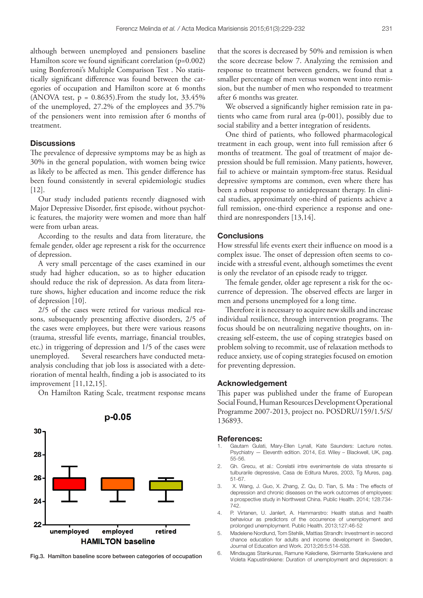although between unemployed and pensioners baseline Hamilton score we found significant correlation (p=0.002) using Bonferroni's Multiple Comparison Test . No statistically significant difference was found between the categories of occupation and Hamilton score at 6 months (ANOVA test,  $p = 0.8635$ ). From the study lot,  $33.45\%$ of the unemployed, 27.2% of the employees and 35.7% of the pensioners went into remission after 6 months of treatment.

## **Discussions**

The prevalence of depressive symptoms may be as high as 30% in the general population, with women being twice as likely to be affected as men. This gender difference has been found consistently in several epidemiologic studies [12].

Our study included patients recently diagnosed with Major Depressive Disorder, first episode, without psychotic features, the majority were women and more than half were from urban areas.

According to the results and data from literature, the female gender, older age represent a risk for the occurrence of depression.

A very small percentage of the cases examined in our study had higher education, so as to higher education should reduce the risk of depression. As data from literature shows, higher education and income reduce the risk of depression [10].

2/5 of the cases were retired for various medical reasons, subsequently presenting affective disorders, 2/5 of the cases were employees, but there were various reasons (trauma, stressful life events, marriage, financial troubles, etc.) in triggering of depression and 1/5 of the cases were unemployed. Several researchers have conducted metaanalysis concluding that job loss is associated with a deterioration of mental health, finding a job is associated to its improvement [11,12,15].

On Hamilton Rating Scale, treatment response means



that the scores is decreased by 50% and remission is when the score decrease below 7. Analyzing the remission and response to treatment between genders, we found that a smaller percentage of men versus women went into remission, but the number of men who responded to treatment after 6 months was greater.

We observed a significantly higher remission rate in patients who came from rural area (p-001), possibly due to social stability and a better integration of residents.

One third of patients, who followed pharmacological treatment in each group, went into full remission after 6 months of treatment. The goal of treatment of major depression should be full remission. Many patients, however, fail to achieve or maintain symptom-free status. Residual depressive symptoms are common, even where there has been a robust response to antidepressant therapy. In clinical studies, approximately one-third of patients achieve a full remission, one-third experience a response and onethird are nonresponders [13,14].

# **Conclusions**

How stressful life events exert their influence on mood is a complex issue. The onset of depression often seems to coincide with a stressful event, although sometimes the event is only the revelator of an episode ready to trigger.

The female gender, older age represent a risk for the occurrence of depression. The observed effects are larger in men and persons unemployed for a long time.

Therefore it is necessary to acquire new skills and increase individual resilience, through intervention programs. The focus should be on neutralizing negative thoughts, on increasing self-esteem, the use of coping strategies based on problem solving to recommit, use of relaxation methods to reduce anxiety, use of coping strategies focused on emotion for preventing depression.

## Acknowledgement

This paper was published under the frame of European Social Found, Human Resources Development Operational Programme 2007-2013, project no. POSDRU/159/1.5/S/ 136893.

#### References:

- Gautam Gulati, Mary-Ellen Lynall, Kate Saunders: Lecture notes. Psychiatry — Eleventh edition. 2014, Ed. Wiley – Blackwell, UK, pag. 55-56.
- 2. Gh. Grecu, et al.: Corelatii intre evenimentele de viata stresante si tulburarile depressive, Casa de Editura Mures, 2003, Tg Mures, pag. 51-67.
- 3. X. Wang, J. Guo, X. Zhang, Z. Qu, D. Tian, S. Ma : The effects of depression and chronic diseases on the work outcomes of employees: a prospective study in Northwest China. Public Health. 2014; 128:734- 742.
- 4. P. Virtanen, U. Janlert, A. Hammarstro: Health status and health behaviour as predictors of the occurrence of unemployment and prolonged unemployment. Public Health. 2013;127:46-52
- 5. Madelene Nordlund, Tom Stehlik, Mattias Strandh: Investment in second chance education for adults and income development in Sweden, Journal of Education and Work. 2013;26:5:514-538.
- 6. Mindaugas Stankunas, Ramune Kalediene, Skirmante Starkuviene and Fig.3. Hamilton baseline score between categories of occupation<br>Violeta Kapustinskiene: Duration of unemployment and depression: a